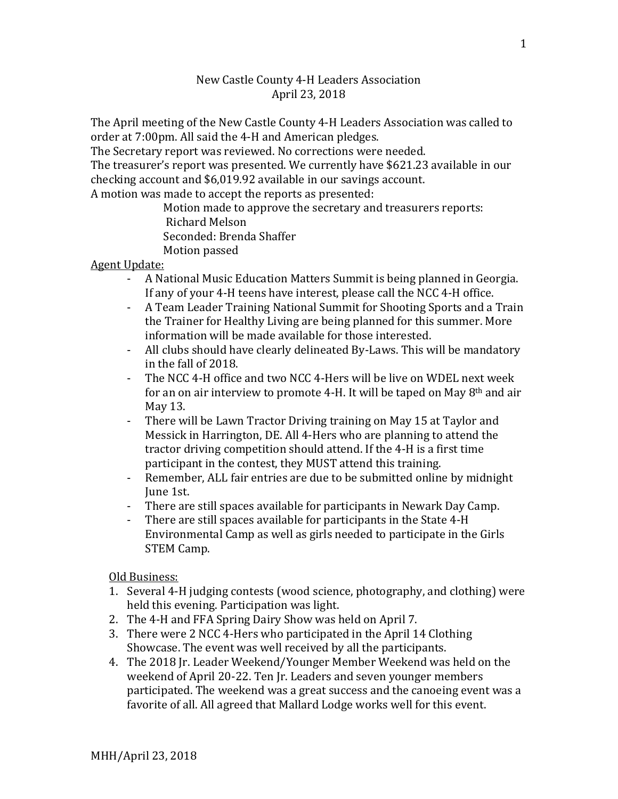## New Castle County 4-H Leaders Association April 23, 2018

The April meeting of the New Castle County 4-H Leaders Association was called to order at 7:00pm. All said the 4-H and American pledges.

The Secretary report was reviewed. No corrections were needed.

The treasurer's report was presented. We currently have \$621.23 available in our checking account and \$6,019.92 available in our savings account.

A motion was made to accept the reports as presented:

Motion made to approve the secretary and treasurers reports: Richard Melson Seconded: Brenda Shaffer Motion passed

## Agent Update:

- A National Music Education Matters Summit is being planned in Georgia. If any of your 4-H teens have interest, please call the NCC 4-H office.
- A Team Leader Training National Summit for Shooting Sports and a Train the Trainer for Healthy Living are being planned for this summer. More information will be made available for those interested.
- All clubs should have clearly delineated By-Laws. This will be mandatory in the fall of 2018.
- The NCC 4-H office and two NCC 4-Hers will be live on WDEL next week for an on air interview to promote 4-H. It will be taped on May 8th and air May 13.
- There will be Lawn Tractor Driving training on May 15 at Taylor and Messick in Harrington, DE. All 4-Hers who are planning to attend the tractor driving competition should attend. If the 4-H is a first time participant in the contest, they MUST attend this training.
- Remember, ALL fair entries are due to be submitted online by midnight June 1st.
- There are still spaces available for participants in Newark Day Camp.
- There are still spaces available for participants in the State 4-H Environmental Camp as well as girls needed to participate in the Girls STEM Camp.

Old Business:

- 1. Several 4-H judging contests (wood science, photography, and clothing) were held this evening. Participation was light.
- 2. The 4-H and FFA Spring Dairy Show was held on April 7.
- 3. There were 2 NCC 4-Hers who participated in the April 14 Clothing Showcase. The event was well received by all the participants.
- 4. The 2018 Jr. Leader Weekend/Younger Member Weekend was held on the weekend of April 20-22. Ten Jr. Leaders and seven younger members participated. The weekend was a great success and the canoeing event was a favorite of all. All agreed that Mallard Lodge works well for this event.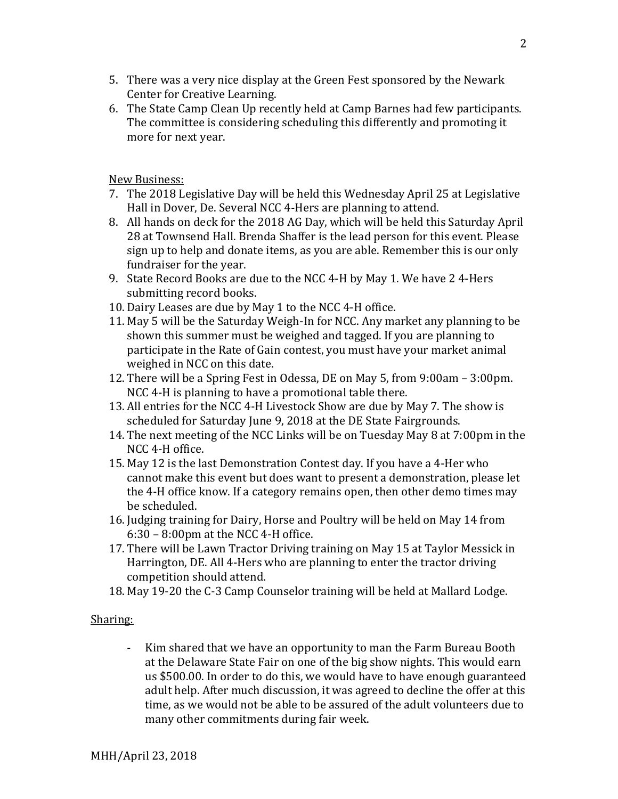- 5. There was a very nice display at the Green Fest sponsored by the Newark Center for Creative Learning.
- 6. The State Camp Clean Up recently held at Camp Barnes had few participants. The committee is considering scheduling this differently and promoting it more for next year.

New Business:

- 7. The 2018 Legislative Day will be held this Wednesday April 25 at Legislative Hall in Dover, De. Several NCC 4-Hers are planning to attend.
- 8. All hands on deck for the 2018 AG Day, which will be held this Saturday April 28 at Townsend Hall. Brenda Shaffer is the lead person for this event. Please sign up to help and donate items, as you are able. Remember this is our only fundraiser for the year.
- 9. State Record Books are due to the NCC 4-H by May 1. We have 2 4-Hers submitting record books.
- 10. Dairy Leases are due by May 1 to the NCC 4-H office.
- 11. May 5 will be the Saturday Weigh-In for NCC. Any market any planning to be shown this summer must be weighed and tagged. If you are planning to participate in the Rate of Gain contest, you must have your market animal weighed in NCC on this date.
- 12. There will be a Spring Fest in Odessa, DE on May 5, from 9:00am 3:00pm. NCC 4-H is planning to have a promotional table there.
- 13. All entries for the NCC 4-H Livestock Show are due by May 7. The show is scheduled for Saturday June 9, 2018 at the DE State Fairgrounds.
- 14. The next meeting of the NCC Links will be on Tuesday May 8 at 7:00pm in the NCC 4-H office.
- 15. May 12 is the last Demonstration Contest day. If you have a 4-Her who cannot make this event but does want to present a demonstration, please let the 4-H office know. If a category remains open, then other demo times may be scheduled.
- 16. Judging training for Dairy, Horse and Poultry will be held on May 14 from 6:30 – 8:00pm at the NCC 4-H office.
- 17. There will be Lawn Tractor Driving training on May 15 at Taylor Messick in Harrington, DE. All 4-Hers who are planning to enter the tractor driving competition should attend.
- 18. May 19-20 the C-3 Camp Counselor training will be held at Mallard Lodge.

## Sharing:

- Kim shared that we have an opportunity to man the Farm Bureau Booth at the Delaware State Fair on one of the big show nights. This would earn us \$500.00. In order to do this, we would have to have enough guaranteed adult help. After much discussion, it was agreed to decline the offer at this time, as we would not be able to be assured of the adult volunteers due to many other commitments during fair week.